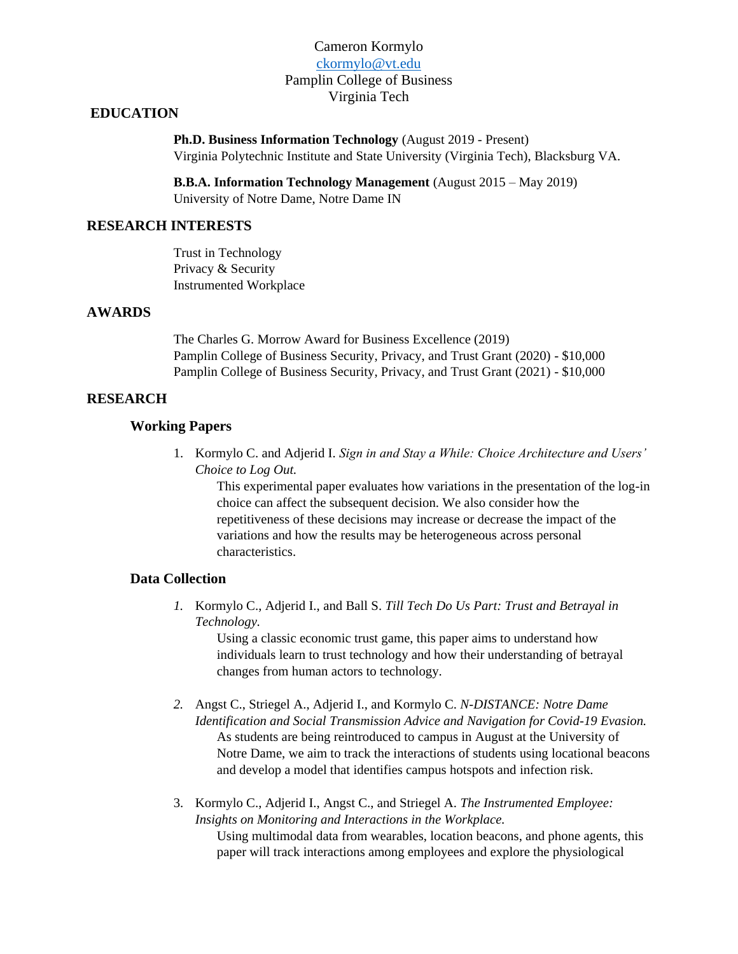## Cameron Kormylo [ckormylo@vt.edu](mailto:ckormylo@vt.edu) Pamplin College of Business Virginia Tech

## **EDUCATION**

**Ph.D. Business Information Technology** (August 2019 - Present) Virginia Polytechnic Institute and State University (Virginia Tech), Blacksburg VA.

**B.B.A. Information Technology Management** (August 2015 – May 2019) University of Notre Dame, Notre Dame IN

# **RESEARCH INTERESTS**

Trust in Technology Privacy & Security Instrumented Workplace

### **AWARDS**

The Charles G. Morrow Award for Business Excellence (2019) Pamplin College of Business Security, Privacy, and Trust Grant (2020) - \$10,000 Pamplin College of Business Security, Privacy, and Trust Grant (2021) - \$10,000

## **RESEARCH**

#### **Working Papers**

1. Kormylo C. and Adjerid I. *Sign in and Stay a While: Choice Architecture and Users' Choice to Log Out.*

This experimental paper evaluates how variations in the presentation of the log-in choice can affect the subsequent decision. We also consider how the repetitiveness of these decisions may increase or decrease the impact of the variations and how the results may be heterogeneous across personal characteristics.

#### **Data Collection**

*1.* Kormylo C., Adjerid I., and Ball S. *Till Tech Do Us Part: Trust and Betrayal in Technology.*

Using a classic economic trust game, this paper aims to understand how individuals learn to trust technology and how their understanding of betrayal changes from human actors to technology.

- *2.* Angst C., Striegel A., Adjerid I., and Kormylo C. *N-DISTANCE: Notre Dame Identification and Social Transmission Advice and Navigation for Covid-19 Evasion.* As students are being reintroduced to campus in August at the University of Notre Dame, we aim to track the interactions of students using locational beacons and develop a model that identifies campus hotspots and infection risk.
- 3. Kormylo C., Adjerid I., Angst C., and Striegel A. *The Instrumented Employee: Insights on Monitoring and Interactions in the Workplace.*  Using multimodal data from wearables, location beacons, and phone agents, this paper will track interactions among employees and explore the physiological